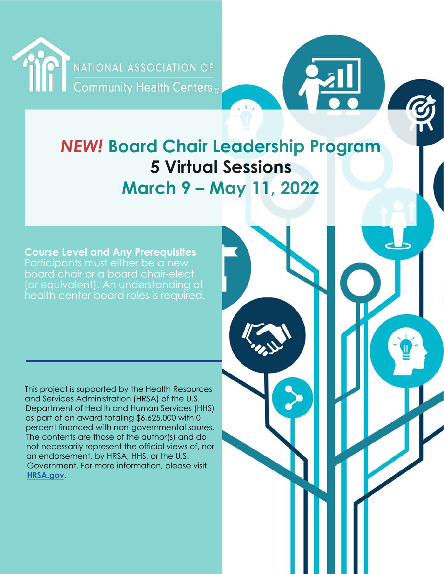

# *NEW!* **Board Chair Leadership Program 5 Virtual Sessions March 9 – May 11, 2022**

**Course Level and Any Prerequisites**  Participants must either be a new board chair or a board chair-elect (or equivalent). An understanding of health center board roles is required.

This project is supported by the Health Resources and Services Administration (HRSA) of the U.S. Department of Health and Human Services (HHS) as part of an award totaling \$6,625,000 with 0 percent financed with non-governmental soures. The contents are those of the author(s) and do not necessarily represent the official views of, nor an endorsement, by HRSA, HHS, or the U.S. Government. For more information, please visit **[HRSA.gov](http://HRSA.gov)**.